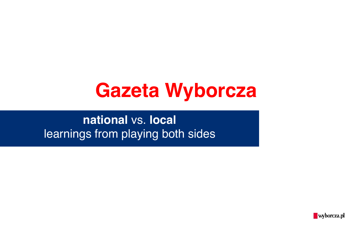

**national** vs. **local** learnings from playing both sides

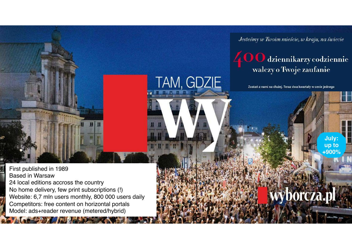Jesteśmy w Twoim mieście, w kraju, na świecie

# 400 dziennikarzy codziennie<br>walczy o Twoje zaufanie

Zostań z nami na dłużej. Teraz dwa kwartały w cenie jednego

TAM, GDZIE

**July : up to +900%**

/borcza.pl

First published in 1989 Based in Warsaw 24 local editions accross the country No home delivery, few print subscriptions (!) Website: 6,7 mln users monthly, 800 000 users daily Competitors: free content on horizontal portals Model: ads+reader revenue (metered /hybrid )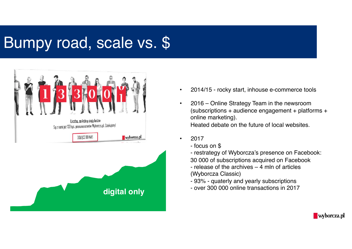## Bumpy road, scale vs. \$



- 2014/15 rocky start, inhouse e-commerce tools
- 2016 Online Strategy Team in the newsroom (subscriptions + audience engagement + platforms + online marketing). Heated debate on the future of local websites.
- 2017
	- focus on \$
	- restrategy of Wyborcza's presence on Facebook:

wyborcza.pl

- 30 000 of subscriptions acquired on Facebook
- release of the archives 4 mln of articles (Wyborcza Classic)
- 93% quaterly and yearly subscriptions
- over 300 000 online transactions in 2017 **digital only**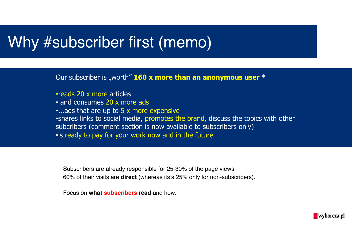#### Why #subscriber first (memo)

Our subscriber is "worth" **160 x more than an anonymous user** \*

- •reads 20 x more articles
- and consumes 20 x more ads
- •...ads that are up to 5 x more expensive
- •shares links to social media, promotes the brand, discuss the topics with other subcribers (comment section is now available to subscribers only) •is ready to pay for your work now and in the future

Subscribers are already responsible for 25-30% of the page views. 60% of their visits are **direct** (whereas its's 25% only for non-subscribers).

Focus on **what subscribers read** and how.

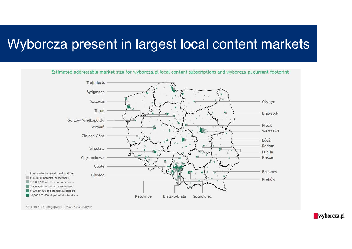#### Wyborcza present in largest local content markets



Source: GUS, Megapanel, PKW, BCG analysis

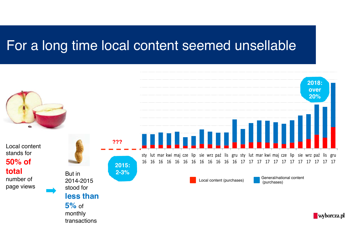#### For a long time local content seemed unsellable

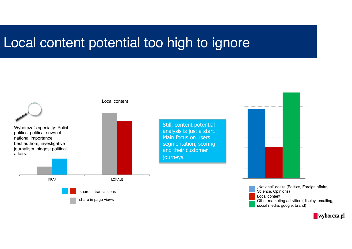#### Local content potential too high to ignore

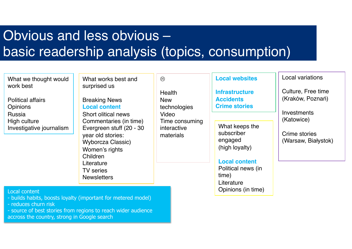## Obvious and less obvious – basic readership analysis (topics, consumption)

| What we thought would<br>work best          | What works best and<br>surprised us<br><b>Breaking News</b><br><b>Local content</b><br><b>Short olitical news</b><br>Commentaries (in time)<br>Evergreen stuff (20 - 30<br>year old stories:<br><b>Wyborcza Classic)</b><br>Women's rights<br>Children<br>Literature<br><b>TV</b> series<br><b>Newsletters</b> | $\odot$<br><b>Health</b><br><b>New</b><br>technologies<br>Video<br>Time consuming<br>interactive<br>materials | <b>Local websites</b><br><b>Infrastructure</b><br><b>Accidents</b><br><b>Crime stories</b><br>What keeps the<br>subscriber<br>engaged<br>(high loyalty)<br><b>Local content</b><br>Political news (in<br>time)<br>Literature | Local variations<br>Culture, Free time<br>(Kraków, Poznań)<br>Investments<br>(Katowice)<br>Crime stories<br>(Warsaw, Białystok) |
|---------------------------------------------|----------------------------------------------------------------------------------------------------------------------------------------------------------------------------------------------------------------------------------------------------------------------------------------------------------------|---------------------------------------------------------------------------------------------------------------|------------------------------------------------------------------------------------------------------------------------------------------------------------------------------------------------------------------------------|---------------------------------------------------------------------------------------------------------------------------------|
| <b>Political affairs</b><br><b>Opinions</b> |                                                                                                                                                                                                                                                                                                                |                                                                                                               |                                                                                                                                                                                                                              |                                                                                                                                 |
| Russia                                      |                                                                                                                                                                                                                                                                                                                |                                                                                                               |                                                                                                                                                                                                                              |                                                                                                                                 |
| High culture<br>Investigative journalism    |                                                                                                                                                                                                                                                                                                                |                                                                                                               |                                                                                                                                                                                                                              |                                                                                                                                 |
|                                             |                                                                                                                                                                                                                                                                                                                |                                                                                                               |                                                                                                                                                                                                                              |                                                                                                                                 |
| Local content                               | - builds habits, boosts loyalty (important for metered model)                                                                                                                                                                                                                                                  |                                                                                                               | Opinions (in time)                                                                                                                                                                                                           |                                                                                                                                 |

- reduces churn risk

- source of best stories from regions to reach wider audience accross the country, strong in Google search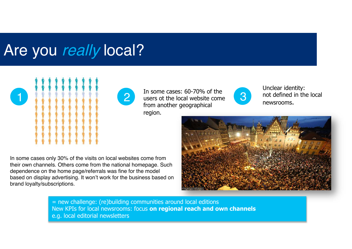#### Are you really local?



1 2 3 In some cases: 60-70% of the users ot the local website come from another geographical region.



Unclear identity: not defined in the local newsrooms.

In some cases only 30% of the visits on local websites come from their own channels. Others come from the national homepage. Such dependence on the home page/referrals was fine for the model based on display advertising. It won't work for the business based on brand loyalty/subscriptions.



= new challenge: (re)building communities around local editions New KPIs for local newsrooms: focus **on regional reach and own channels** e.g. local editorial newsletters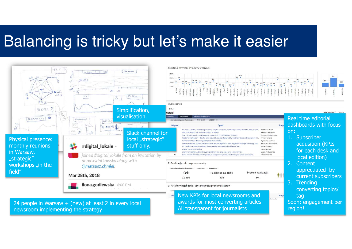## Balancing is tricky but let's make it easier



newsroom implementing the strategy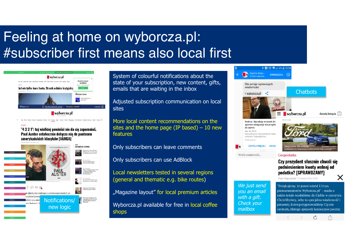#### Feeling at home on wyborcza.pl: #subscriber first means also local first



"4 3 2 1": tej wielkiej powieści nie da się zapomnieć. Paul Auster ostatecznie dołacza nia do panteonu amerykańskich klasyków [VARGA]



System of colourful notifications about the state of your subscription, new content, gifts, emails that are waiting in the inbox

Adjusted subscription communication on local sites

More local content recommendations on the sites and the home page (IP based)  $-10$  new features

Only subscribers can leave comments

Only subscribers can use AdBlock

Local newsletters tested in several regions (general and thematic e.g. bike routes)

"Magazine layout" for local premium articles

Wyborcza.pl available for free in local coffee shops



Gospodarka

Czy prezydent słusznie chwali sie podniesieniem kwoty wolnej od podatku? [SPRAWDZAMY] ×

Piotr Miaczyński 12 marca 2018 | 15:54

We just send you an email with a gift. Check your mailbox

"Dziekujemy, że jesteś wśród 133 tys. prenumeratorów Wyborcza.pl" - maila o takim tytule wysłaliśmy do Ciebie w czwartek. Chcielibyśmy, żeby ta specjalna wiadomość i prezenty, które przygotowaliśmy Cię nie omineły, dlatego sprawdź koniecznie poczte!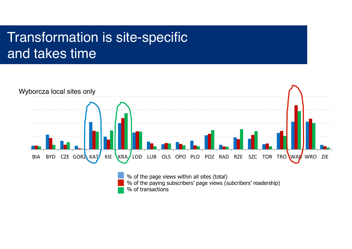#### Transformation is site-specific and takes time

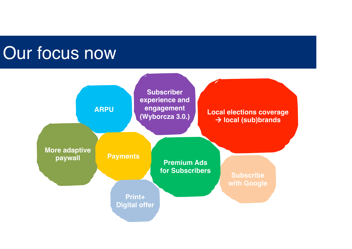# Our focus now